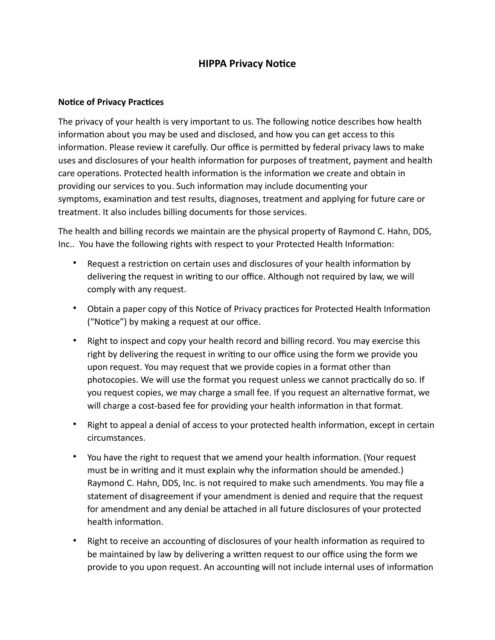## **HIPPA Privacy Notice**

## **Notice of Privacy Practices**

The privacy of your health is very important to us. The following notice describes how health information about you may be used and disclosed, and how you can get access to this information. Please review it carefully. Our office is permitted by federal privacy laws to make uses and disclosures of your health information for purposes of treatment, payment and health care operations. Protected health information is the information we create and obtain in providing our services to you. Such information may include documenting your symptoms, examination and test results, diagnoses, treatment and applying for future care or treatment. It also includes billing documents for those services.

The health and billing records we maintain are the physical property of Raymond C. Hahn, DDS, Inc.. You have the following rights with respect to your Protected Health Information:

- Request a restriction on certain uses and disclosures of your health information by delivering the request in writing to our office. Although not required by law, we will comply with any request.
- Obtain a paper copy of this Notice of Privacy practices for Protected Health Information ("Notice") by making a request at our office.
- Right to inspect and copy your health record and billing record. You may exercise this right by delivering the request in writing to our office using the form we provide you upon request. You may request that we provide copies in a format other than photocopies. We will use the format you request unless we cannot practically do so. If you request copies, we may charge a small fee. If you request an alternative format, we will charge a cost-based fee for providing your health information in that format.
- Right to appeal a denial of access to your protected health information, except in certain circumstances.
- You have the right to request that we amend your health information. (Your request must be in writing and it must explain why the information should be amended.) Raymond C. Hahn, DDS, Inc. is not required to make such amendments. You may file a statement of disagreement if your amendment is denied and require that the request for amendment and any denial be attached in all future disclosures of your protected health information.
- Right to receive an accounting of disclosures of your health information as required to be maintained by law by delivering a written request to our office using the form we provide to you upon request. An accounting will not include internal uses of information